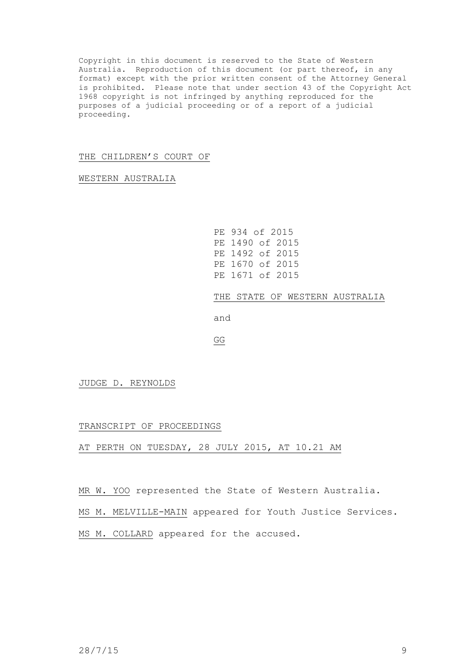Copyright in this document is reserved to the State of Western Australia. Reproduction of this document (or part thereof, in any format) except with the prior written consent of the Attorney General is prohibited. Please note that under section 43 of the Copyright Act 1968 copyright is not infringed by anything reproduced for the purposes of a judicial proceeding or of a report of a judicial proceeding.

## THE CHILDREN'S COURT OF

WESTERN AUSTRALIA

```
PE 934 of 2015
PE 1490 of 2015
PE 1492 of 2015
PE 1670 of 2015
PE 1671 of 2015
```
THE STATE OF WESTERN AUSTRALIA

and

GG

JUDGE D. REYNOLDS

## TRANSCRIPT OF PROCEEDINGS

## AT PERTH ON TUESDAY, 28 JULY 2015, AT 10.21 AM

MR W. YOO represented the State of Western Australia.

MS M. MELVILLE-MAIN appeared for Youth Justice Services.

MS M. COLLARD appeared for the accused.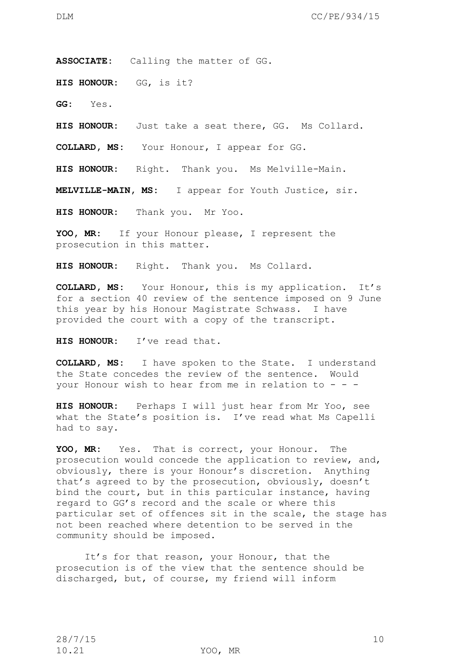**ASSOCIATE:** Calling the matter of GG.

**HIS HONOUR:** GG, is it?

**GG:** Yes.

**HIS HONOUR:** Just take a seat there, GG. Ms Collard.

**COLLARD, MS:** Your Honour, I appear for GG.

**HIS HONOUR:** Right. Thank you. Ms Melville-Main.

**MELVILLE-MAIN, MS:** I appear for Youth Justice, sir.

**HIS HONOUR:** Thank you. Mr Yoo.

**YOO, MR:** If your Honour please, I represent the prosecution in this matter.

**HIS HONOUR:** Right. Thank you. Ms Collard.

**COLLARD, MS:** Your Honour, this is my application. It's for a section 40 review of the sentence imposed on 9 June this year by his Honour Magistrate Schwass. I have provided the court with a copy of the transcript.

**HIS HONOUR:** I've read that.

**COLLARD, MS:** I have spoken to the State. I understand the State concedes the review of the sentence. Would your Honour wish to hear from me in relation to  $-$  -  $-$ 

**HIS HONOUR:** Perhaps I will just hear from Mr Yoo, see what the State's position is. I've read what Ms Capelli had to say.

**YOO, MR:** Yes. That is correct, your Honour. The prosecution would concede the application to review, and, obviously, there is your Honour's discretion. Anything that's agreed to by the prosecution, obviously, doesn't bind the court, but in this particular instance, having regard to GG's record and the scale or where this particular set of offences sit in the scale, the stage has not been reached where detention to be served in the community should be imposed.

It's for that reason, your Honour, that the prosecution is of the view that the sentence should be discharged, but, of course, my friend will inform

10.21 YOO, MR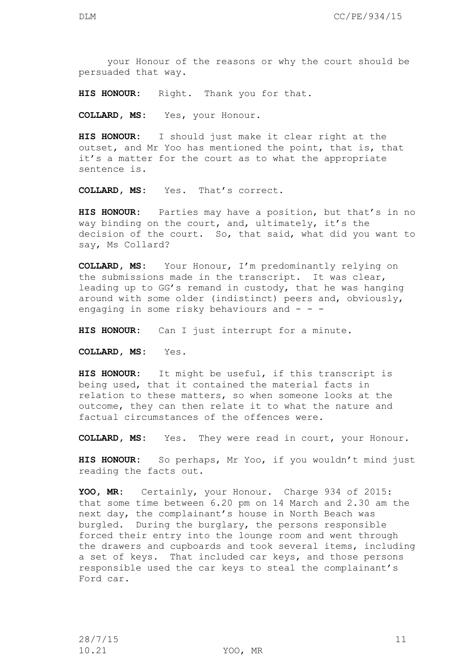your Honour of the reasons or why the court should be persuaded that way.

**HIS HONOUR:** Right. Thank you for that.

**COLLARD, MS:** Yes, your Honour.

**HIS HONOUR:** I should just make it clear right at the outset, and Mr Yoo has mentioned the point, that is, that it's a matter for the court as to what the appropriate sentence is.

**COLLARD, MS:** Yes. That's correct.

**HIS HONOUR:** Parties may have a position, but that's in no way binding on the court, and, ultimately, it's the decision of the court. So, that said, what did you want to say, Ms Collard?

**COLLARD, MS:** Your Honour, I'm predominantly relying on the submissions made in the transcript. It was clear, leading up to GG's remand in custody, that he was hanging around with some older (indistinct) peers and, obviously, engaging in some risky behaviours and  $- -$ 

**HIS HONOUR:** Can I just interrupt for a minute.

**COLLARD, MS:** Yes.

**HIS HONOUR:** It might be useful, if this transcript is being used, that it contained the material facts in relation to these matters, so when someone looks at the outcome, they can then relate it to what the nature and factual circumstances of the offences were.

**COLLARD, MS:** Yes. They were read in court, your Honour.

**HIS HONOUR:** So perhaps, Mr Yoo, if you wouldn't mind just reading the facts out.

**YOO, MR:** Certainly, your Honour. Charge 934 of 2015: that some time between 6.20 pm on 14 March and 2.30 am the next day, the complainant's house in North Beach was burgled. During the burglary, the persons responsible forced their entry into the lounge room and went through the drawers and cupboards and took several items, including a set of keys. That included car keys, and those persons responsible used the car keys to steal the complainant's Ford car.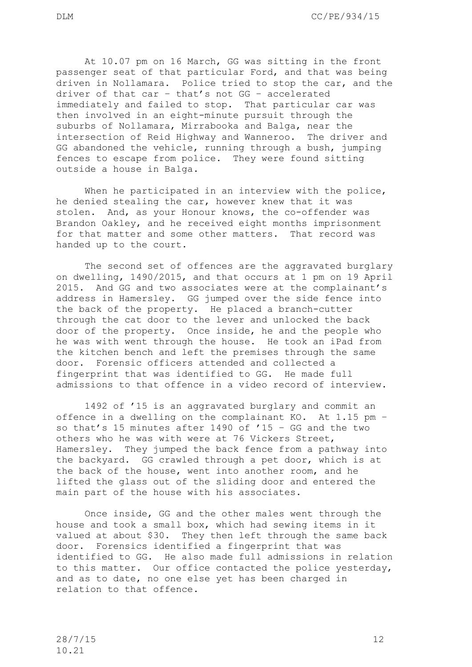At 10.07 pm on 16 March, GG was sitting in the front passenger seat of that particular Ford, and that was being driven in Nollamara. Police tried to stop the car, and the driver of that car – that's not GG – accelerated immediately and failed to stop. That particular car was then involved in an eight-minute pursuit through the suburbs of Nollamara, Mirrabooka and Balga, near the intersection of Reid Highway and Wanneroo. The driver and GG abandoned the vehicle, running through a bush, jumping fences to escape from police. They were found sitting

outside a house in Balga.

When he participated in an interview with the police, he denied stealing the car, however knew that it was stolen. And, as your Honour knows, the co-offender was Brandon Oakley, and he received eight months imprisonment for that matter and some other matters. That record was handed up to the court.

The second set of offences are the aggravated burglary on dwelling, 1490/2015, and that occurs at 1 pm on 19 April 2015. And GG and two associates were at the complainant's address in Hamersley. GG jumped over the side fence into the back of the property. He placed a branch-cutter through the cat door to the lever and unlocked the back door of the property. Once inside, he and the people who he was with went through the house. He took an iPad from the kitchen bench and left the premises through the same door. Forensic officers attended and collected a fingerprint that was identified to GG. He made full admissions to that offence in a video record of interview.

1492 of '15 is an aggravated burglary and commit an offence in a dwelling on the complainant KO. At 1.15 pm – so that's 15 minutes after 1490 of '15 – GG and the two others who he was with were at 76 Vickers Street, Hamersley. They jumped the back fence from a pathway into the backyard. GG crawled through a pet door, which is at the back of the house, went into another room, and he lifted the glass out of the sliding door and entered the main part of the house with his associates.

Once inside, GG and the other males went through the house and took a small box, which had sewing items in it valued at about \$30. They then left through the same back door. Forensics identified a fingerprint that was identified to GG. He also made full admissions in relation to this matter. Our office contacted the police yesterday, and as to date, no one else yet has been charged in relation to that offence.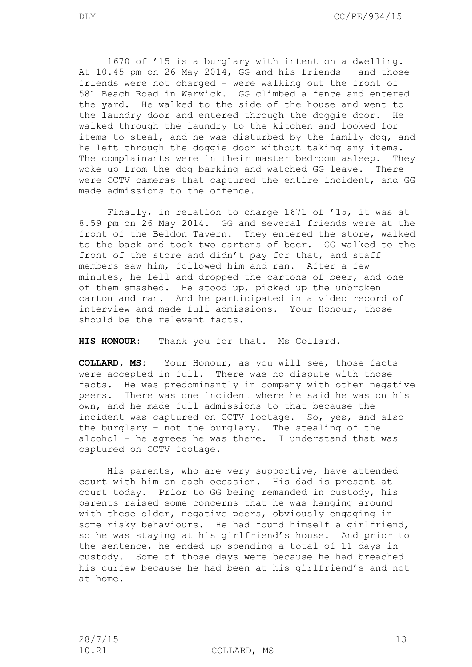1670 of '15 is a burglary with intent on a dwelling. At 10.45 pm on 26 May 2014, GG and his friends – and those friends were not charged – were walking out the front of 581 Beach Road in Warwick. GG climbed a fence and entered the yard. He walked to the side of the house and went to the laundry door and entered through the doggie door. He walked through the laundry to the kitchen and looked for items to steal, and he was disturbed by the family dog, and he left through the doggie door without taking any items. The complainants were in their master bedroom asleep. They woke up from the dog barking and watched GG leave. There were CCTV cameras that captured the entire incident, and GG made admissions to the offence.

Finally, in relation to charge 1671 of '15, it was at 8.59 pm on 26 May 2014. GG and several friends were at the front of the Beldon Tavern. They entered the store, walked to the back and took two cartons of beer. GG walked to the front of the store and didn't pay for that, and staff members saw him, followed him and ran. After a few minutes, he fell and dropped the cartons of beer, and one of them smashed. He stood up, picked up the unbroken carton and ran. And he participated in a video record of interview and made full admissions. Your Honour, those should be the relevant facts.

**HIS HONOUR:** Thank you for that. Ms Collard.

**COLLARD, MS:** Your Honour, as you will see, those facts were accepted in full. There was no dispute with those facts. He was predominantly in company with other negative peers. There was one incident where he said he was on his own, and he made full admissions to that because the incident was captured on CCTV footage. So, yes, and also the burglary – not the burglary. The stealing of the alcohol – he agrees he was there. I understand that was captured on CCTV footage.

His parents, who are very supportive, have attended court with him on each occasion. His dad is present at court today. Prior to GG being remanded in custody, his parents raised some concerns that he was hanging around with these older, negative peers, obviously engaging in some risky behaviours. He had found himself a girlfriend, so he was staying at his girlfriend's house. And prior to the sentence, he ended up spending a total of 11 days in custody. Some of those days were because he had breached his curfew because he had been at his girlfriend's and not at home.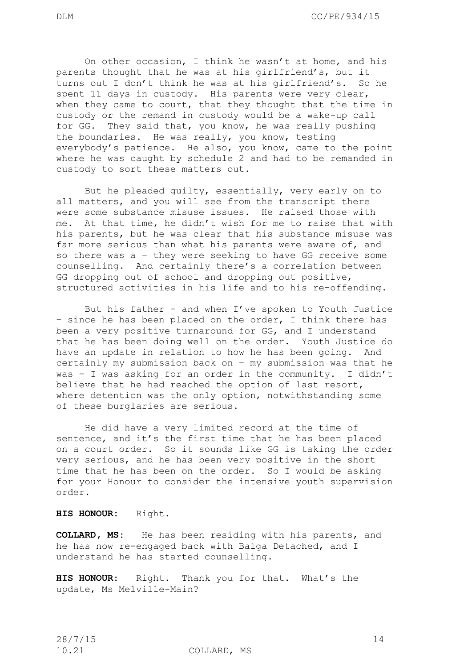On other occasion, I think he wasn't at home, and his parents thought that he was at his girlfriend's, but it turns out I don't think he was at his girlfriend's. So he spent 11 days in custody. His parents were very clear, when they came to court, that they thought that the time in custody or the remand in custody would be a wake-up call for GG. They said that, you know, he was really pushing the boundaries. He was really, you know, testing everybody's patience. He also, you know, came to the point where he was caught by schedule 2 and had to be remanded in custody to sort these matters out.

But he pleaded guilty, essentially, very early on to all matters, and you will see from the transcript there were some substance misuse issues. He raised those with me. At that time, he didn't wish for me to raise that with his parents, but he was clear that his substance misuse was far more serious than what his parents were aware of, and so there was a – they were seeking to have GG receive some counselling. And certainly there's a correlation between GG dropping out of school and dropping out positive, structured activities in his life and to his re-offending.

But his father – and when I've spoken to Youth Justice – since he has been placed on the order, I think there has been a very positive turnaround for GG, and I understand that he has been doing well on the order. Youth Justice do have an update in relation to how he has been going. And certainly my submission back on – my submission was that he was – I was asking for an order in the community. I didn't believe that he had reached the option of last resort, where detention was the only option, notwithstanding some of these burglaries are serious.

He did have a very limited record at the time of sentence, and it's the first time that he has been placed on a court order. So it sounds like GG is taking the order very serious, and he has been very positive in the short time that he has been on the order. So I would be asking for your Honour to consider the intensive youth supervision order.

**HIS HONOUR:** Right.

**COLLARD, MS:** He has been residing with his parents, and he has now re-engaged back with Balga Detached, and I understand he has started counselling.

**HIS HONOUR:** Right. Thank you for that. What's the update, Ms Melville-Main?

10.21 COLLARD, MS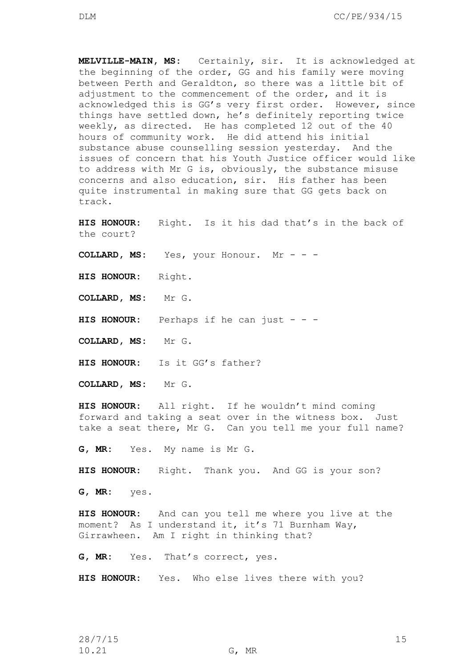**MELVILLE-MAIN, MS:** Certainly, sir. It is acknowledged at the beginning of the order, GG and his family were moving between Perth and Geraldton, so there was a little bit of adjustment to the commencement of the order, and it is acknowledged this is GG's very first order. However, since things have settled down, he's definitely reporting twice weekly, as directed. He has completed 12 out of the 40 hours of community work. He did attend his initial substance abuse counselling session yesterday. And the issues of concern that his Youth Justice officer would like to address with Mr G is, obviously, the substance misuse concerns and also education, sir. His father has been quite instrumental in making sure that GG gets back on track.

**HIS HONOUR:** Right. Is it his dad that's in the back of the court?

**COLLARD, MS:** Yes, your Honour. Mr - - -

**HIS HONOUR:** Right.

**COLLARD, MS:** Mr G.

**HIS HONOUR:** Perhaps if he can just - - -

**COLLARD, MS:** Mr G.

**HIS HONOUR:** Is it GG's father?

**COLLARD, MS:** Mr G.

**HIS HONOUR:** All right. If he wouldn't mind coming forward and taking a seat over in the witness box. Just take a seat there, Mr G. Can you tell me your full name?

**G, MR:** Yes. My name is Mr G.

**HIS HONOUR:** Right. Thank you. And GG is your son?

**G, MR:** yes.

**HIS HONOUR:** And can you tell me where you live at the moment? As I understand it, it's 71 Burnham Way, Girrawheen. Am I right in thinking that?

**G, MR:** Yes. That's correct, yes.

**HIS HONOUR:** Yes. Who else lives there with you?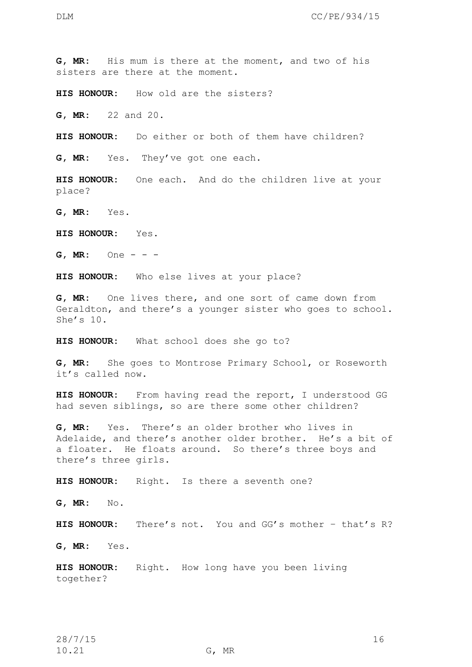**G, MR:** His mum is there at the moment, and two of his sisters are there at the moment.

**HIS HONOUR:** How old are the sisters?

**G, MR:** 22 and 20.

**HIS HONOUR:** Do either or both of them have children?

**G, MR:** Yes. They've got one each.

**HIS HONOUR:** One each. And do the children live at your place?

**G, MR:** Yes.

**HIS HONOUR:** Yes.

**G, MR:** One - - -

**HIS HONOUR:** Who else lives at your place?

**G, MR:** One lives there, and one sort of came down from Geraldton, and there's a younger sister who goes to school. She's 10.

**HIS HONOUR:** What school does she go to?

**G, MR:** She goes to Montrose Primary School, or Roseworth it's called now.

**HIS HONOUR:** From having read the report, I understood GG had seven siblings, so are there some other children?

**G, MR:** Yes. There's an older brother who lives in Adelaide, and there's another older brother. He's a bit of a floater. He floats around. So there's three boys and there's three girls.

**HIS HONOUR:** Right. Is there a seventh one?

**G, MR:** No.

**HIS HONOUR:** There's not. You and GG's mother – that's R?

**G, MR:** Yes.

**HIS HONOUR:** Right. How long have you been living together?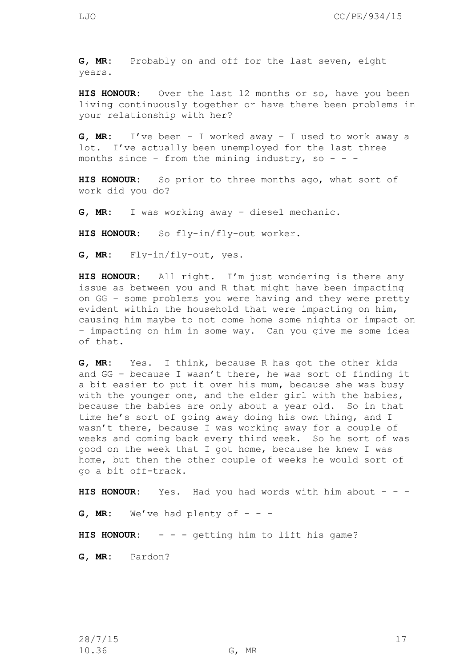**G, MR:** Probably on and off for the last seven, eight years.

**HIS HONOUR:** Over the last 12 months or so, have you been living continuously together or have there been problems in your relationship with her?

**G, MR:** I've been – I worked away – I used to work away a lot. I've actually been unemployed for the last three months since - from the mining industry, so - - -

**HIS HONOUR:** So prior to three months ago, what sort of work did you do?

**G, MR:** I was working away – diesel mechanic.

**HIS HONOUR:** So fly-in/fly-out worker.

**G, MR:** Fly-in/fly-out, yes.

**HIS HONOUR:** All right. I'm just wondering is there any issue as between you and R that might have been impacting on GG – some problems you were having and they were pretty evident within the household that were impacting on him, causing him maybe to not come home some nights or impact on – impacting on him in some way. Can you give me some idea of that.

**G, MR:** Yes. I think, because R has got the other kids and GG – because I wasn't there, he was sort of finding it a bit easier to put it over his mum, because she was busy with the younger one, and the elder girl with the babies, because the babies are only about a year old. So in that time he's sort of going away doing his own thing, and I wasn't there, because I was working away for a couple of weeks and coming back every third week. So he sort of was good on the week that I got home, because he knew I was home, but then the other couple of weeks he would sort of go a bit off-track.

**HIS HONOUR:** Yes. Had you had words with him about - - -

**G, MR:** We've had plenty of  $-$ 

HIS HONOUR: - - - getting him to lift his game?

**G, MR:** Pardon?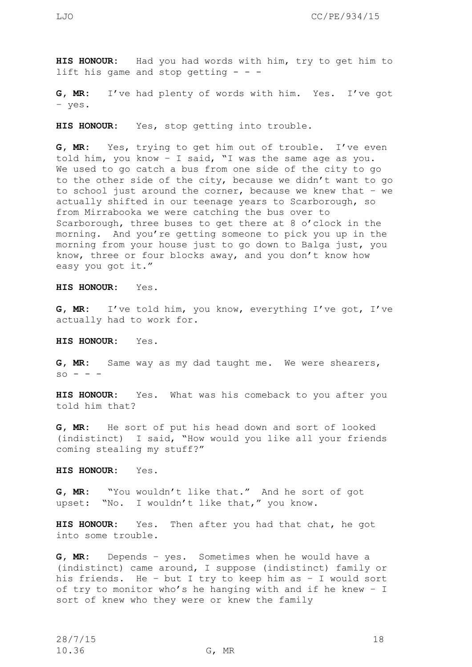**HIS HONOUR:** Had you had words with him, try to get him to lift his game and stop getting  $-$  -

**G, MR:** I've had plenty of words with him. Yes. I've got – yes.

**HIS HONOUR:** Yes, stop getting into trouble.

**G, MR:** Yes, trying to get him out of trouble. I've even told him, you know – I said, "I was the same age as you. We used to go catch a bus from one side of the city to go to the other side of the city, because we didn't want to go to school just around the corner, because we knew that – we actually shifted in our teenage years to Scarborough, so from Mirrabooka we were catching the bus over to Scarborough, three buses to get there at 8 o'clock in the morning. And you're getting someone to pick you up in the morning from your house just to go down to Balga just, you know, three or four blocks away, and you don't know how easy you got it."

**HIS HONOUR:** Yes.

**G, MR:** I've told him, you know, everything I've got, I've actually had to work for.

**HIS HONOUR:** Yes.

**G, MR:** Same way as my dad taught me. We were shearers,  $\mathbf{s} \circ - -$ 

**HIS HONOUR:** Yes. What was his comeback to you after you told him that?

**G, MR:** He sort of put his head down and sort of looked (indistinct) I said, "How would you like all your friends coming stealing my stuff?"

**HIS HONOUR:** Yes.

**G, MR:** "You wouldn't like that." And he sort of got upset: "No. I wouldn't like that," you know.

**HIS HONOUR:** Yes. Then after you had that chat, he got into some trouble.

**G, MR:** Depends – yes. Sometimes when he would have a (indistinct) came around, I suppose (indistinct) family or his friends. He – but I try to keep him as – I would sort of try to monitor who's he hanging with and if he knew – I sort of knew who they were or knew the family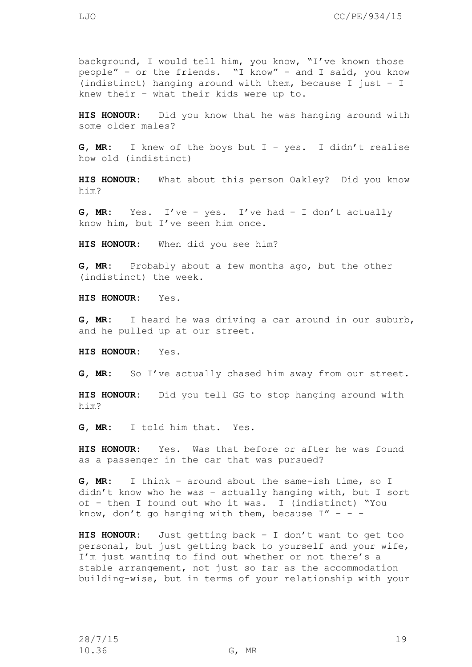**HIS HONOUR:** Did you know that he was hanging around with some older males?

**G, MR:** I knew of the boys but I – yes. I didn't realise how old (indistinct)

**HIS HONOUR:** What about this person Oakley? Did you know him?

**G, MR:** Yes. I've – yes. I've had – I don't actually know him, but I've seen him once.

**HIS HONOUR:** When did you see him?

**G, MR:** Probably about a few months ago, but the other (indistinct) the week.

**HIS HONOUR:** Yes.

**G, MR:** I heard he was driving a car around in our suburb, and he pulled up at our street.

**HIS HONOUR:** Yes.

**G, MR:** So I've actually chased him away from our street.

**HIS HONOUR:** Did you tell GG to stop hanging around with him?

**G, MR:** I told him that. Yes.

**HIS HONOUR:** Yes. Was that before or after he was found as a passenger in the car that was pursued?

**G, MR:** I think – around about the same-ish time, so I didn't know who he was – actually hanging with, but I sort of – then I found out who it was. I (indistinct) "You know, don't go hanging with them, because  $I'' - -$ 

**HIS HONOUR:** Just getting back – I don't want to get too personal, but just getting back to yourself and your wife, I'm just wanting to find out whether or not there's a stable arrangement, not just so far as the accommodation building-wise, but in terms of your relationship with your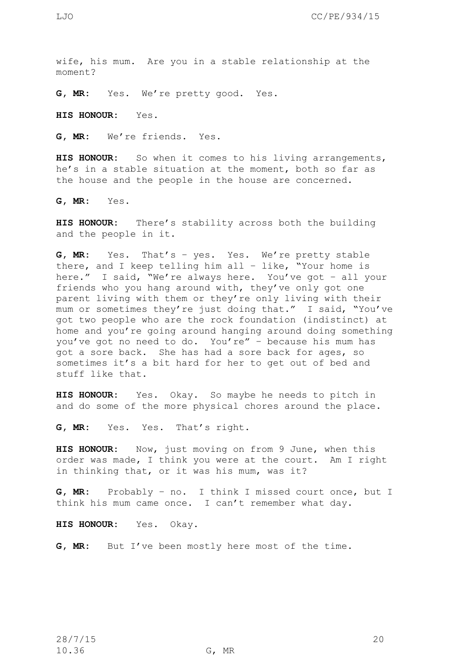wife, his mum. Are you in a stable relationship at the moment?

**G, MR:** Yes. We're pretty good. Yes.

**HIS HONOUR:** Yes.

**G, MR:** We're friends. Yes.

**HIS HONOUR:** So when it comes to his living arrangements, he's in a stable situation at the moment, both so far as the house and the people in the house are concerned.

**G, MR:** Yes.

**HIS HONOUR:** There's stability across both the building and the people in it.

**G, MR:** Yes. That's – yes. Yes. We're pretty stable there, and I keep telling him all – like, "Your home is here." I said, "We're always here. You've got – all your friends who you hang around with, they've only got one parent living with them or they're only living with their mum or sometimes they're just doing that." I said, "You've got two people who are the rock foundation (indistinct) at home and you're going around hanging around doing something you've got no need to do. You're" – because his mum has got a sore back. She has had a sore back for ages, so sometimes it's a bit hard for her to get out of bed and stuff like that.

**HIS HONOUR:** Yes. Okay. So maybe he needs to pitch in and do some of the more physical chores around the place.

**G, MR:** Yes. Yes. That's right.

**HIS HONOUR:** Now, just moving on from 9 June, when this order was made, I think you were at the court. Am I right in thinking that, or it was his mum, was it?

**G, MR:** Probably – no. I think I missed court once, but I think his mum came once. I can't remember what day.

**HIS HONOUR:** Yes. Okay.

**G, MR:** But I've been mostly here most of the time.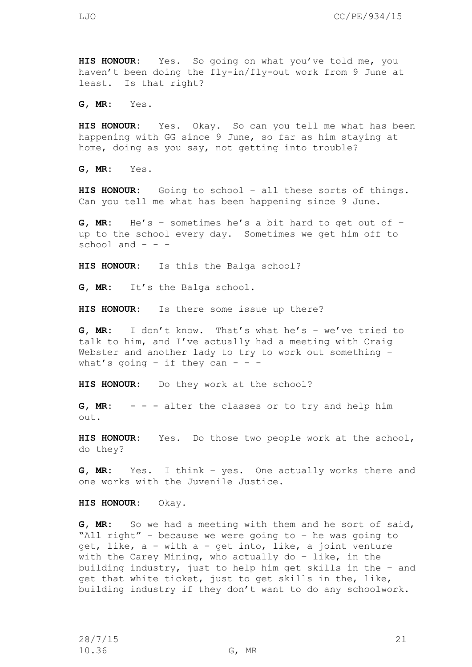**G, MR:** Yes.

**HIS HONOUR:** Yes. Okay. So can you tell me what has been happening with GG since 9 June, so far as him staying at home, doing as you say, not getting into trouble?

**G, MR:** Yes.

**HIS HONOUR:** Going to school – all these sorts of things. Can you tell me what has been happening since 9 June.

**G, MR:** He's – sometimes he's a bit hard to get out of – up to the school every day. Sometimes we get him off to school and  $-$ 

**HIS HONOUR:** Is this the Balga school?

**G, MR:** It's the Balga school.

**HIS HONOUR:** Is there some issue up there?

**G, MR:** I don't know. That's what he's – we've tried to talk to him, and I've actually had a meeting with Craig Webster and another lady to try to work out something what's going - if they can - - -

**HIS HONOUR:** Do they work at the school?

**G, MR:** - - - alter the classes or to try and help him out.

**HIS HONOUR:** Yes. Do those two people work at the school, do they?

**G, MR:** Yes. I think – yes. One actually works there and one works with the Juvenile Justice.

**HIS HONOUR:** Okay.

**G, MR:** So we had a meeting with them and he sort of said, "All right" – because we were going to – he was going to get, like, a – with a – get into, like, a joint venture with the Carey Mining, who actually do – like, in the building industry, just to help him get skills in the – and get that white ticket, just to get skills in the, like, building industry if they don't want to do any schoolwork.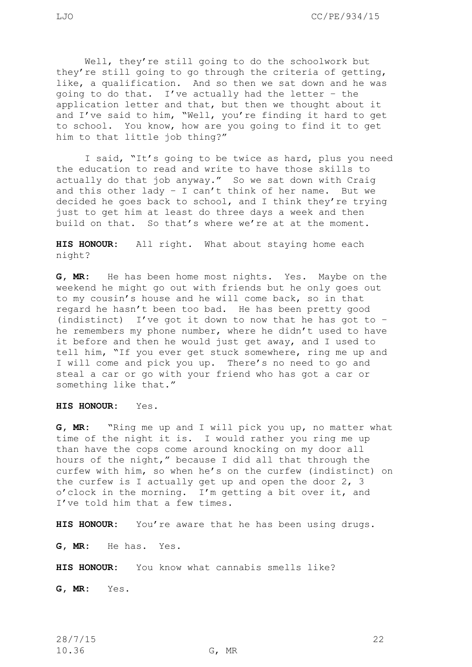Well, they're still going to do the schoolwork but they're still going to go through the criteria of getting, like, a qualification. And so then we sat down and he was going to do that. I've actually had the letter – the application letter and that, but then we thought about it and I've said to him, "Well, you're finding it hard to get to school. You know, how are you going to find it to get him to that little job thing?"

I said, "It's going to be twice as hard, plus you need the education to read and write to have those skills to actually do that job anyway." So we sat down with Craig and this other lady – I can't think of her name. But we decided he goes back to school, and I think they're trying just to get him at least do three days a week and then build on that. So that's where we're at at the moment.

**HIS HONOUR:** All right. What about staying home each night?

**G, MR:** He has been home most nights. Yes. Maybe on the weekend he might go out with friends but he only goes out to my cousin's house and he will come back, so in that regard he hasn't been too bad. He has been pretty good (indistinct) I've got it down to now that he has got to – he remembers my phone number, where he didn't used to have it before and then he would just get away, and I used to tell him, "If you ever get stuck somewhere, ring me up and I will come and pick you up. There's no need to go and steal a car or go with your friend who has got a car or something like that."

**HIS HONOUR:** Yes.

**G, MR:** "Ring me up and I will pick you up, no matter what time of the night it is. I would rather you ring me up than have the cops come around knocking on my door all hours of the night," because I did all that through the curfew with him, so when he's on the curfew (indistinct) on the curfew is I actually get up and open the door 2, 3 o'clock in the morning. I'm getting a bit over it, and I've told him that a few times.

**HIS HONOUR:** You're aware that he has been using drugs.

**G, MR:** He has. Yes.

**HIS HONOUR:** You know what cannabis smells like?

**G, MR:** Yes.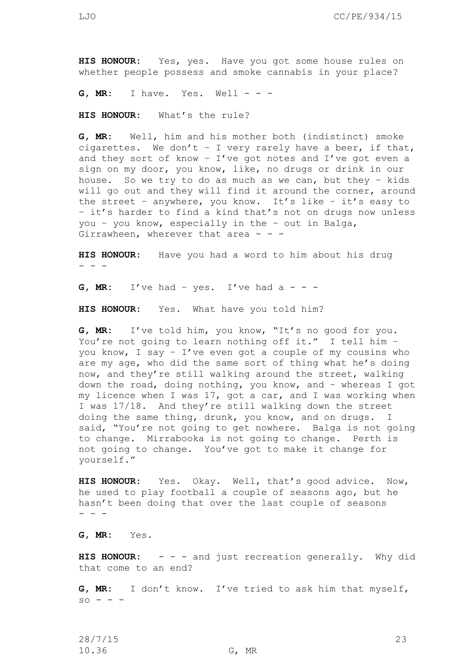**HIS HONOUR:** Yes, yes. Have you got some house rules on whether people possess and smoke cannabis in your place?

**G, MR:** I have. Yes. Well - - -

**HIS HONOUR:** What's the rule?

**G, MR:** Well, him and his mother both (indistinct) smoke cigarettes. We don't - I very rarely have a beer, if that, and they sort of know - I've got notes and I've got even a sign on my door, you know, like, no drugs or drink in our house. So we try to do as much as we can, but they – kids will go out and they will find it around the corner, around the street – anywhere, you know. It's like – it's easy to – it's harder to find a kind that's not on drugs now unless you – you know, especially in the – out in Balga, Girrawheen, wherever that area  $- -$ 

**HIS HONOUR:** Have you had a word to him about his drug - - -

**G, MR:** I've had - yes. I've had  $a - -$ 

**HIS HONOUR:** Yes. What have you told him?

**G, MR:** I've told him, you know, "It's no good for you. You're not going to learn nothing off it." I tell him you know, I say – I've even got a couple of my cousins who are my age, who did the same sort of thing what he's doing now, and they're still walking around the street, walking down the road, doing nothing, you know, and – whereas I got my licence when I was 17, got a car, and I was working when I was 17/18. And they're still walking down the street doing the same thing, drunk, you know, and on drugs. I said, "You're not going to get nowhere. Balga is not going to change. Mirrabooka is not going to change. Perth is not going to change. You've got to make it change for yourself."

**HIS HONOUR:** Yes. Okay. Well, that's good advice. Now, he used to play football a couple of seasons ago, but he hasn't been doing that over the last couple of seasons - - -

**G, MR:** Yes.

**HIS HONOUR:** - - - and just recreation generally. Why did that come to an end?

**G, MR:** I don't know. I've tried to ask him that myself,  $so - - -$ 

28/7/15 23 10.36 G, MR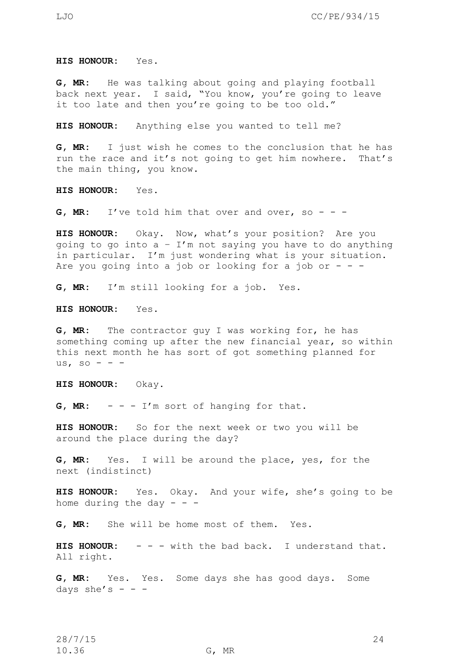**HIS HONOUR:** Yes.

**G, MR:** He was talking about going and playing football back next year. I said, "You know, you're going to leave it too late and then you're going to be too old."

**HIS HONOUR:** Anything else you wanted to tell me?

**G, MR:** I just wish he comes to the conclusion that he has run the race and it's not going to get him nowhere. That's the main thing, you know.

**HIS HONOUR:** Yes.

**G, MR:** I've told him that over and over, so - - -

**HIS HONOUR:** Okay. Now, what's your position? Are you going to go into  $a - I'm$  not saying you have to do anything in particular. I'm just wondering what is your situation. Are you going into a job or looking for a job or  $-$  -

**G, MR:** I'm still looking for a job. Yes.

**HIS HONOUR:** Yes.

**G, MR:** The contractor guy I was working for, he has something coming up after the new financial year, so within this next month he has sort of got something planned for us, so - - -

**HIS HONOUR:** Okay.

**G, MR:** - - - I'm sort of hanging for that.

**HIS HONOUR:** So for the next week or two you will be around the place during the day?

**G, MR:** Yes. I will be around the place, yes, for the next (indistinct)

**HIS HONOUR:** Yes. Okay. And your wife, she's going to be home during the day  $-$ 

**G, MR:** She will be home most of them. Yes.

**HIS HONOUR:** - - - with the bad back. I understand that. All right.

**G, MR:** Yes. Yes. Some days she has good days. Some days she's  $-$  -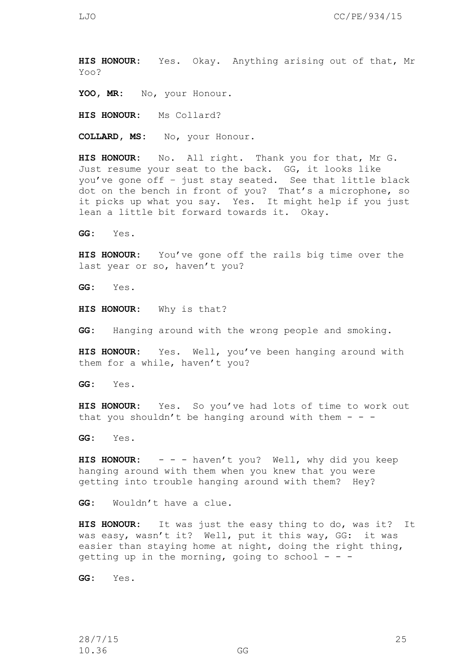**HIS HONOUR:** Yes. Okay. Anything arising out of that, Mr Yoo?

YOO, MR: No, your Honour.

**HIS HONOUR:** Ms Collard?

**COLLARD, MS:** No, your Honour.

**HIS HONOUR:** No. All right. Thank you for that, Mr G. Just resume your seat to the back. GG, it looks like you've gone off – just stay seated. See that little black dot on the bench in front of you? That's a microphone, so it picks up what you say. Yes. It might help if you just lean a little bit forward towards it. Okay.

**GG:** Yes.

**HIS HONOUR:** You've gone off the rails big time over the last year or so, haven't you?

**GG:** Yes.

**HIS HONOUR:** Why is that?

**GG:** Hanging around with the wrong people and smoking.

**HIS HONOUR:** Yes. Well, you've been hanging around with them for a while, haven't you?

**GG:** Yes.

**HIS HONOUR:** Yes.So you've had lots of time to work out that you shouldn't be hanging around with them  $-$  -

**GG:** Yes.

**HIS HONOUR:** - - - haven't you? Well, why did you keep hanging around with them when you knew that you were getting into trouble hanging around with them? Hey?

**GG:** Wouldn't have a clue.

**HIS HONOUR:** It was just the easy thing to do, was it? It was easy, wasn't it? Well, put it this way, GG: it was easier than staying home at night, doing the right thing, getting up in the morning, going to school  $- -$ 

**GG:** Yes.

28/7/15 25 10.36 GG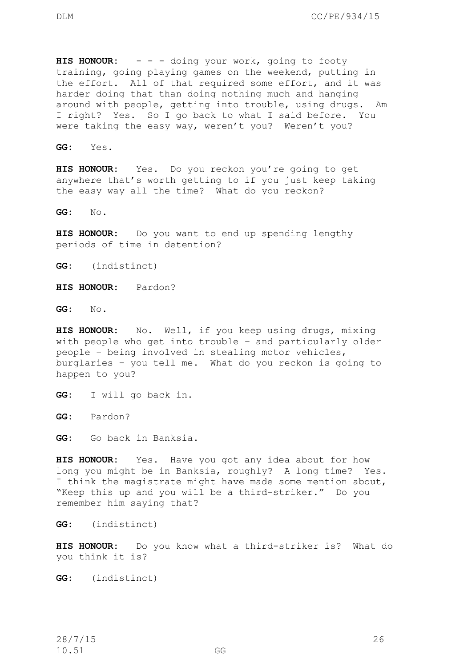HIS HONOUR: - - - doing your work, going to footy training, going playing games on the weekend, putting in the effort. All of that required some effort, and it was harder doing that than doing nothing much and hanging around with people, getting into trouble, using drugs. Am I right? Yes. So I go back to what I said before. You were taking the easy way, weren't you? Weren't you?

**GG:** Yes.

**HIS HONOUR:** Yes. Do you reckon you're going to get anywhere that's worth getting to if you just keep taking the easy way all the time? What do you reckon?

**GG:** No.

**HIS HONOUR:** Do you want to end up spending lengthy periods of time in detention?

**GG:** (indistinct)

**HIS HONOUR:** Pardon?

**GG:** No.

**HIS HONOUR:** No. Well, if you keep using drugs, mixing with people who get into trouble – and particularly older people – being involved in stealing motor vehicles, burglaries – you tell me. What do you reckon is going to happen to you?

**GG:** I will go back in.

**GG:** Pardon?

**GG:** Go back in Banksia.

**HIS HONOUR:** Yes. Have you got any idea about for how long you might be in Banksia, roughly? A long time? Yes. I think the magistrate might have made some mention about, "Keep this up and you will be a third-striker." Do you remember him saying that?

**GG:** (indistinct)

**HIS HONOUR:** Do you know what a third-striker is? What do you think it is?

**GG:** (indistinct)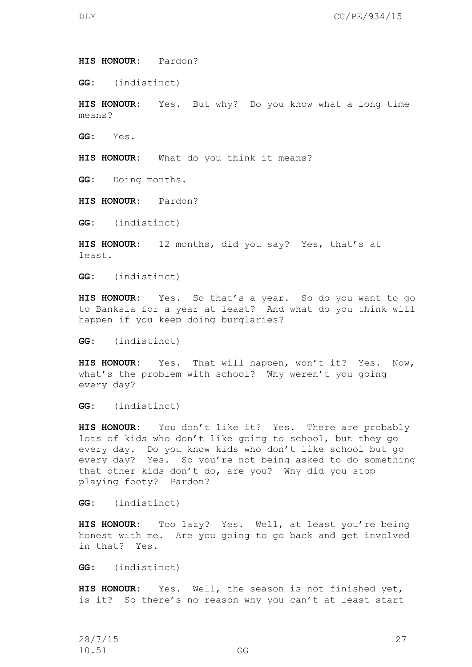**HIS HONOUR:** Pardon?

**GG:** (indistinct)

**HIS HONOUR:** Yes. But why? Do you know what a long time means?

**GG:** Yes.

**HIS HONOUR:** What do you think it means?

**GG:** Doing months.

**HIS HONOUR:** Pardon?

**GG:** (indistinct)

**HIS HONOUR:** 12 months, did you say? Yes, that's at least.

**GG:** (indistinct)

**HIS HONOUR:** Yes. So that's a year. So do you want to go to Banksia for a year at least? And what do you think will happen if you keep doing burglaries?

**GG:** (indistinct)

**HIS HONOUR:** Yes. That will happen, won't it? Yes. Now, what's the problem with school? Why weren't you going every day?

**GG:** (indistinct)

**HIS HONOUR:** You don't like it? Yes. There are probably lots of kids who don't like going to school, but they go every day. Do you know kids who don't like school but go every day? Yes. So you're not being asked to do something that other kids don't do, are you? Why did you stop playing footy? Pardon?

**GG:** (indistinct)

**HIS HONOUR:** Too lazy? Yes. Well, at least you're being honest with me. Are you going to go back and get involved in that? Yes.

**GG:** (indistinct)

**HIS HONOUR:** Yes. Well, the season is not finished yet, is it? So there's no reason why you can't at least start

28/7/15 27 10.51 GG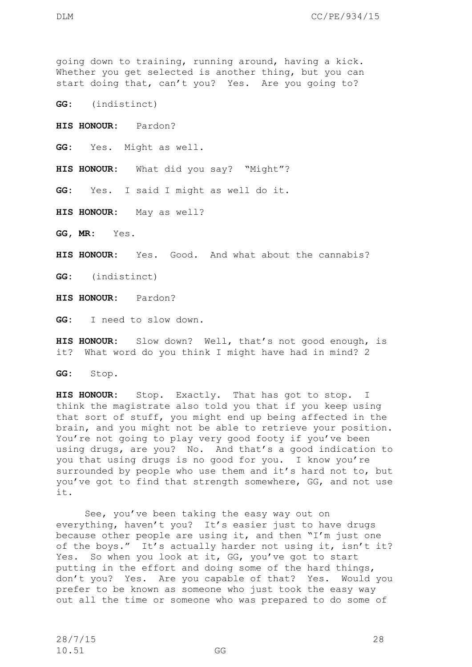going down to training, running around, having a kick. Whether you get selected is another thing, but you can start doing that, can't you? Yes. Are you going to?

**GG:** (indistinct)

**HIS HONOUR:** Pardon?

**GG:** Yes. Might as well.

**HIS HONOUR:** What did you say? "Might"?

**GG:** Yes. I said I might as well do it.

**HIS HONOUR:** May as well?

**GG, MR:** Yes.

**HIS HONOUR:** Yes. Good. And what about the cannabis?

**GG:** (indistinct)

**HIS HONOUR:** Pardon?

**GG:** I need to slow down.

**HIS HONOUR:** Slow down? Well, that's not good enough, is it? What word do you think I might have had in mind? 2

**GG:** Stop.

**HIS HONOUR:** Stop. Exactly. That has got to stop. I think the magistrate also told you that if you keep using that sort of stuff, you might end up being affected in the brain, and you might not be able to retrieve your position. You're not going to play very good footy if you've been using drugs, are you? No. And that's a good indication to you that using drugs is no good for you. I know you're surrounded by people who use them and it's hard not to, but you've got to find that strength somewhere, GG, and not use it.

See, you've been taking the easy way out on everything, haven't you? It's easier just to have drugs because other people are using it, and then "I'm just one of the boys." It's actually harder not using it, isn't it? Yes. So when you look at it, GG, you've got to start putting in the effort and doing some of the hard things, don't you? Yes. Are you capable of that? Yes. Would you prefer to be known as someone who just took the easy way out all the time or someone who was prepared to do some of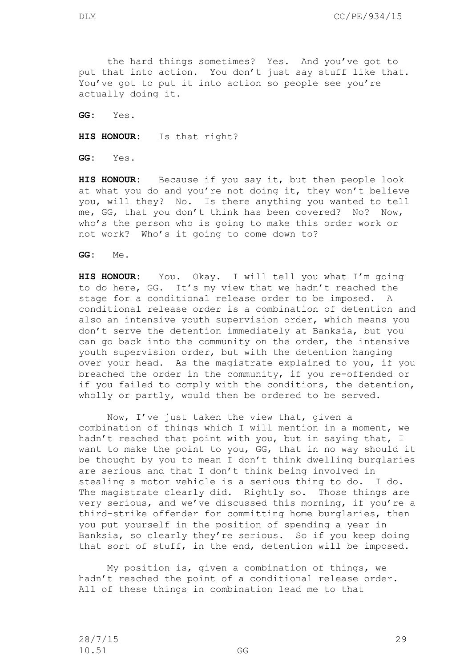the hard things sometimes? Yes. And you've got to put that into action. You don't just say stuff like that. You've got to put it into action so people see you're actually doing it.

**GG:** Yes.

**HIS HONOUR:** Is that right?

**GG:** Yes.

**HIS HONOUR:** Because if you say it, but then people look at what you do and you're not doing it, they won't believe you, will they? No. Is there anything you wanted to tell me, GG, that you don't think has been covered? No? Now, who's the person who is going to make this order work or not work? Who's it going to come down to?

**GG:** Me.

**HIS HONOUR:** You. Okay. I will tell you what I'm going to do here, GG. It's my view that we hadn't reached the stage for a conditional release order to be imposed. A conditional release order is a combination of detention and also an intensive youth supervision order, which means you don't serve the detention immediately at Banksia, but you can go back into the community on the order, the intensive youth supervision order, but with the detention hanging over your head. As the magistrate explained to you, if you breached the order in the community, if you re-offended or if you failed to comply with the conditions, the detention, wholly or partly, would then be ordered to be served.

Now, I've just taken the view that, given a combination of things which I will mention in a moment, we hadn't reached that point with you, but in saying that, I want to make the point to you, GG, that in no way should it be thought by you to mean I don't think dwelling burglaries are serious and that I don't think being involved in stealing a motor vehicle is a serious thing to do. I do. The magistrate clearly did. Rightly so. Those things are very serious, and we've discussed this morning, if you're a third-strike offender for committing home burglaries, then you put yourself in the position of spending a year in Banksia, so clearly they're serious. So if you keep doing that sort of stuff, in the end, detention will be imposed.

My position is, given a combination of things, we hadn't reached the point of a conditional release order. All of these things in combination lead me to that

28/7/15 29 10.51 GG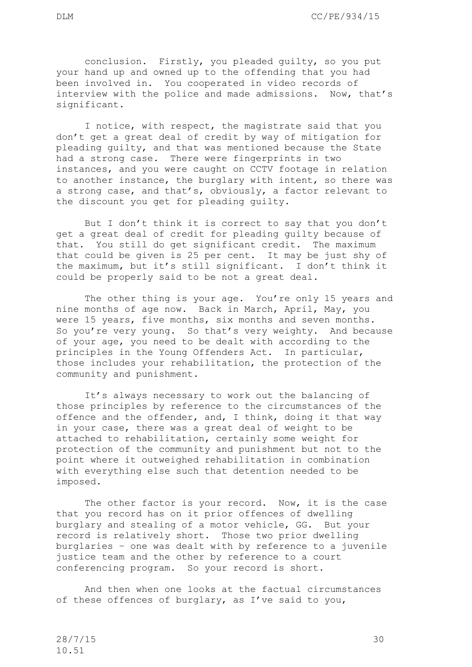I notice, with respect, the magistrate said that you don't get a great deal of credit by way of mitigation for pleading guilty, and that was mentioned because the State had a strong case. There were fingerprints in two instances, and you were caught on CCTV footage in relation to another instance, the burglary with intent, so there was a strong case, and that's, obviously, a factor relevant to the discount you get for pleading guilty.

interview with the police and made admissions. Now, that's

But I don't think it is correct to say that you don't get a great deal of credit for pleading guilty because of that. You still do get significant credit. The maximum that could be given is 25 per cent. It may be just shy of the maximum, but it's still significant. I don't think it could be properly said to be not a great deal.

The other thing is your age. You're only 15 years and nine months of age now. Back in March, April, May, you were 15 years, five months, six months and seven months. So you're very young. So that's very weighty. And because of your age, you need to be dealt with according to the principles in the Young Offenders Act. In particular, those includes your rehabilitation, the protection of the community and punishment.

It's always necessary to work out the balancing of those principles by reference to the circumstances of the offence and the offender, and, I think, doing it that way in your case, there was a great deal of weight to be attached to rehabilitation, certainly some weight for protection of the community and punishment but not to the point where it outweighed rehabilitation in combination with everything else such that detention needed to be imposed.

The other factor is your record. Now, it is the case that you record has on it prior offences of dwelling burglary and stealing of a motor vehicle, GG. But your record is relatively short. Those two prior dwelling burglaries – one was dealt with by reference to a juvenile justice team and the other by reference to a court conferencing program. So your record is short.

And then when one looks at the factual circumstances of these offences of burglary, as I've said to you,

significant.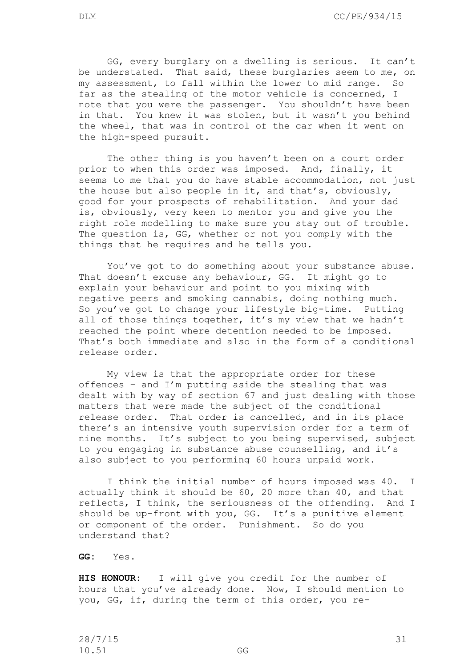GG, every burglary on a dwelling is serious. It can't be understated. That said, these burglaries seem to me, on my assessment, to fall within the lower to mid range. So far as the stealing of the motor vehicle is concerned, I note that you were the passenger. You shouldn't have been in that. You knew it was stolen, but it wasn't you behind the wheel, that was in control of the car when it went on the high-speed pursuit.

The other thing is you haven't been on a court order prior to when this order was imposed. And, finally, it seems to me that you do have stable accommodation, not just the house but also people in it, and that's, obviously, good for your prospects of rehabilitation. And your dad is, obviously, very keen to mentor you and give you the right role modelling to make sure you stay out of trouble. The question is, GG, whether or not you comply with the things that he requires and he tells you.

You've got to do something about your substance abuse. That doesn't excuse any behaviour, GG. It might go to explain your behaviour and point to you mixing with negative peers and smoking cannabis, doing nothing much. So you've got to change your lifestyle big-time. Putting all of those things together, it's my view that we hadn't reached the point where detention needed to be imposed. That's both immediate and also in the form of a conditional release order.

My view is that the appropriate order for these offences – and I'm putting aside the stealing that was dealt with by way of section 67 and just dealing with those matters that were made the subject of the conditional release order. That order is cancelled, and in its place there's an intensive youth supervision order for a term of nine months. It's subject to you being supervised, subject to you engaging in substance abuse counselling, and it's also subject to you performing 60 hours unpaid work.

I think the initial number of hours imposed was 40. I actually think it should be 60, 20 more than 40, and that reflects, I think, the seriousness of the offending. And I should be up-front with you, GG. It's a punitive element or component of the order. Punishment. So do you understand that?

**GG:** Yes.

**HIS HONOUR:** I will give you credit for the number of hours that you've already done. Now, I should mention to you, GG, if, during the term of this order, you re-

28/7/15 31 10.51 GG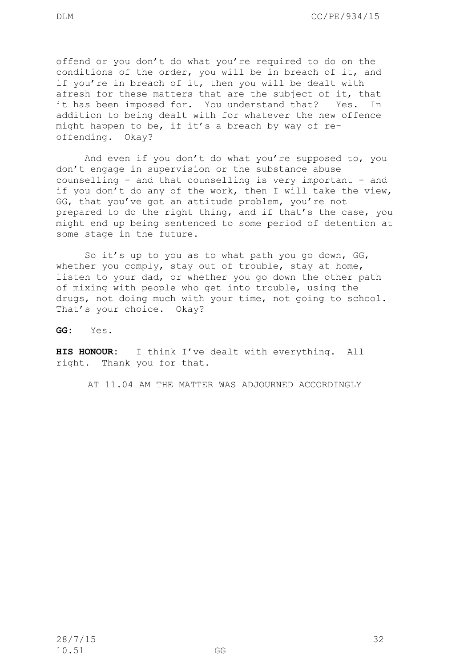offend or you don't do what you're required to do on the conditions of the order, you will be in breach of it, and if you're in breach of it, then you will be dealt with afresh for these matters that are the subject of it, that it has been imposed for. You understand that? Yes. In addition to being dealt with for whatever the new offence might happen to be, if it's a breach by way of reoffending. Okay?

And even if you don't do what you're supposed to, you don't engage in supervision or the substance abuse counselling – and that counselling is very important – and if you don't do any of the work, then I will take the view, GG, that you've got an attitude problem, you're not prepared to do the right thing, and if that's the case, you might end up being sentenced to some period of detention at some stage in the future.

So it's up to you as to what path you go down, GG, whether you comply, stay out of trouble, stay at home, listen to your dad, or whether you go down the other path of mixing with people who get into trouble, using the drugs, not doing much with your time, not going to school. That's your choice. Okay?

**GG:** Yes.

**HIS HONOUR:** I think I've dealt with everything. All right. Thank you for that.

AT 11.04 AM THE MATTER WAS ADJOURNED ACCORDINGLY